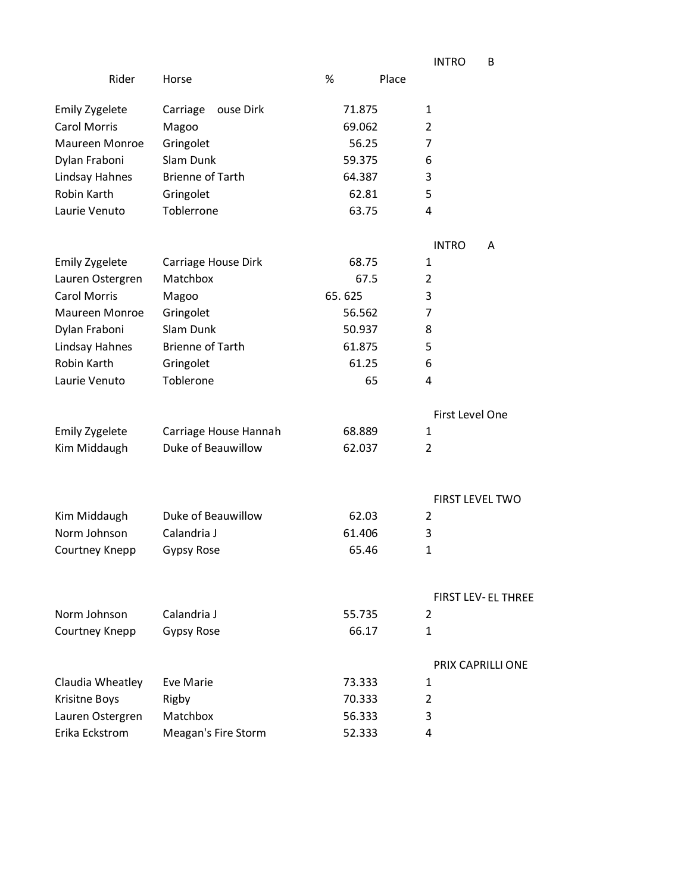|                       |                         |            | <b>INTRO</b><br>B         |
|-----------------------|-------------------------|------------|---------------------------|
| Rider                 | Horse                   | %<br>Place |                           |
| <b>Emily Zygelete</b> | Carriage<br>ouse Dirk   | 71.875     | 1                         |
| <b>Carol Morris</b>   | Magoo                   | 69.062     | 2                         |
| Maureen Monroe        | Gringolet               | 56.25      | 7                         |
| Dylan Fraboni         | Slam Dunk               | 59.375     | 6                         |
| Lindsay Hahnes        | <b>Brienne of Tarth</b> | 64.387     | 3                         |
| Robin Karth           | Gringolet               | 62.81      | 5                         |
| Laurie Venuto         | Toblerrone              | 63.75      | 4                         |
|                       |                         |            | <b>INTRO</b><br>A         |
| <b>Emily Zygelete</b> | Carriage House Dirk     | 68.75      | 1                         |
| Lauren Ostergren      | Matchbox                | 67.5       | 2                         |
| <b>Carol Morris</b>   | Magoo                   | 65.625     | 3                         |
| <b>Maureen Monroe</b> | Gringolet               | 56.562     | 7                         |
| Dylan Fraboni         | Slam Dunk               | 50.937     | 8                         |
| Lindsay Hahnes        | <b>Brienne of Tarth</b> | 61.875     | 5                         |
| Robin Karth           | Gringolet               | 61.25      | 6                         |
| Laurie Venuto         | Toblerone               | 65         | 4                         |
|                       |                         |            | First Level One           |
| <b>Emily Zygelete</b> | Carriage House Hannah   | 68.889     | 1                         |
| Kim Middaugh          | Duke of Beauwillow      | 62.037     | 2                         |
|                       |                         |            | <b>FIRST LEVEL TWO</b>    |
| Kim Middaugh          | Duke of Beauwillow      | 62.03      | $\overline{2}$            |
| Norm Johnson          | Calandria J             | 61.406     | 3                         |
| Courtney Knepp        | Gypsy Rose              | 65.46      | $\mathbf{1}$              |
|                       |                         |            | <b>FIRST LEV-EL THREE</b> |
| Norm Johnson          | Calandria J             | 55.735     | 2                         |
| Courtney Knepp        | <b>Gypsy Rose</b>       | 66.17      | $\mathbf{1}$              |
|                       |                         |            | PRIX CAPRILLI ONE         |
| Claudia Wheatley      | <b>Eve Marie</b>        | 73.333     | 1                         |
| Krisitne Boys         | Rigby                   | 70.333     | 2                         |
| Lauren Ostergren      | Matchbox                | 56.333     | 3                         |
| Erika Eckstrom        | Meagan's Fire Storm     | 52.333     | 4                         |